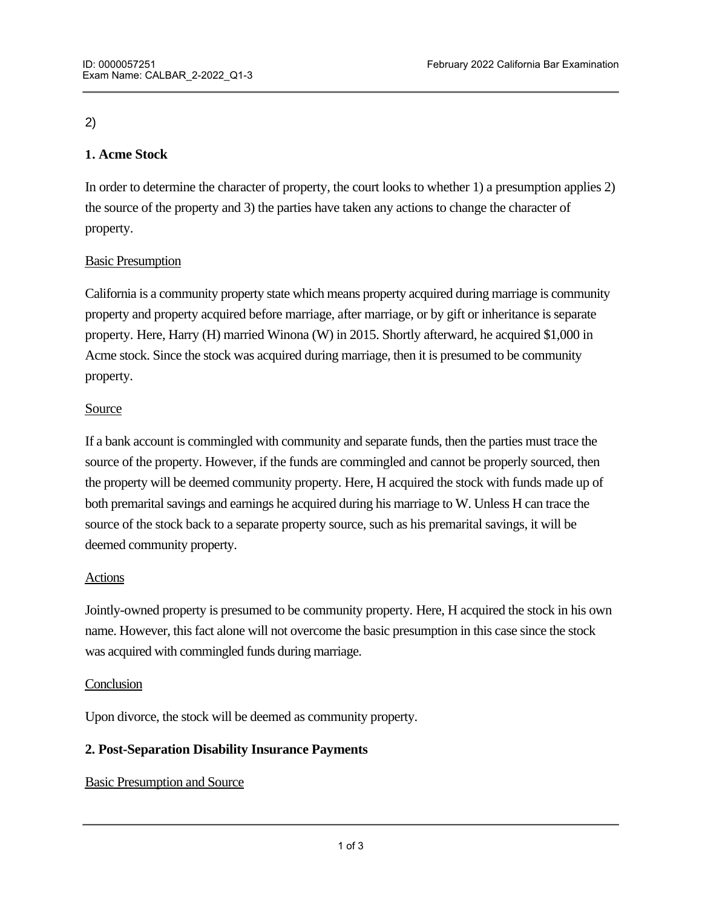# 2)

# **1. Acme Stock**

In order to determine the character of property, the court looks to whether 1) a presumption applies 2) the source of the property and 3) the parties have taken any actions to change the character of property.

# Basic Presumption

California is a community property state which means property acquired during marriage is community property and property acquired before marriage, after marriage, or by gift or inheritance is separate property. Here, Harry (H) married Winona (W) in 2015. Shortly afterward, he acquired \$1,000 in Acme stock. Since the stock was acquired during marriage, then it is presumed to be community property.

# Source

If a bank account is commingled with community and separate funds, then the parties must trace the source of the property. However, if the funds are commingled and cannot be properly sourced, then the property will be deemed community property. Here, H acquired the stock with funds made up of both premarital savings and earnings he acquired during his marriage to W. Unless H can trace the source of the stock back to a separate property source, such as his premarital savings, it will be deemed community property.

# Actions

Jointly-owned property is presumed to be community property. Here, H acquired the stock in his own name. However, this fact alone will not overcome the basic presumption in this case since the stock was acquired with commingled funds during marriage.

### **Conclusion**

Upon divorce, the stock will be deemed as community property.

# **2. Post-Separation Disability Insurance Payments**

# Basic Presumption and Source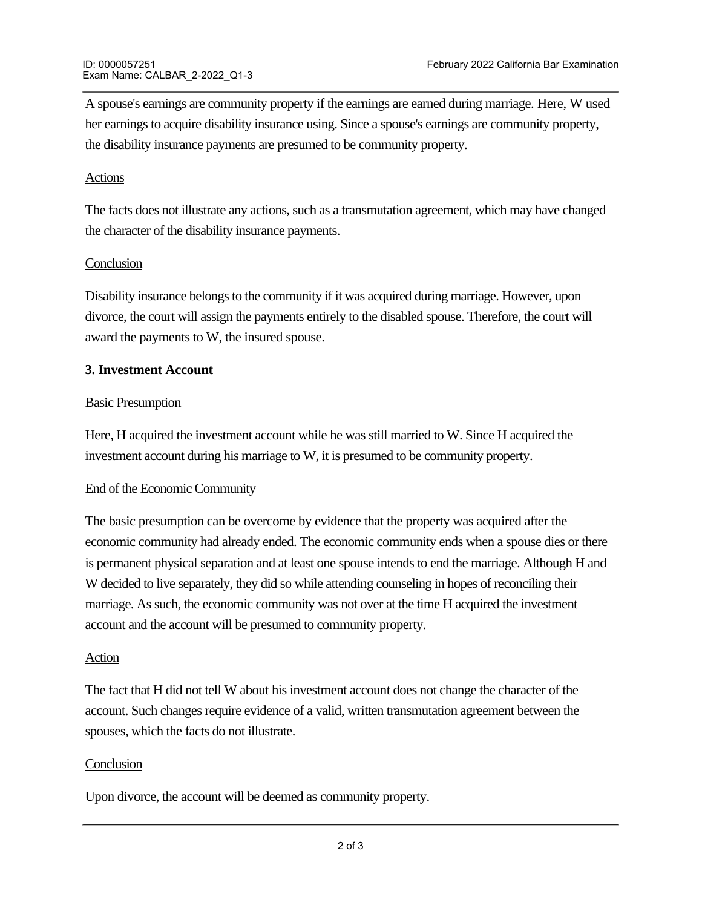A spouse's earnings are community property if the earnings are earned during marriage. Here, W used her earnings to acquire disability insurance using. Since a spouse's earnings are community property, the disability insurance payments are presumed to be community property.

### Actions

The facts does not illustrate any actions, such as a transmutation agreement, which may have changed the character of the disability insurance payments.

# **Conclusion**

Disability insurance belongs to the community if it was acquired during marriage. However, upon divorce, the court will assign the payments entirely to the disabled spouse. Therefore, the court will award the payments to W, the insured spouse.

### **3. Investment Account**

### Basic Presumption

Here, H acquired the investment account while he was still married to W. Since H acquired the investment account during his marriage to W, it is presumed to be community property.

### End of the Economic Community

The basic presumption can be overcome by evidence that the property was acquired after the economic community had already ended. The economic community ends when a spouse dies or there is permanent physical separation and at least one spouse intends to end the marriage. Although H and W decided to live separately, they did so while attending counseling in hopes of reconciling their marriage. As such, the economic community was not over at the time H acquired the investment account and the account will be presumed to community property.

### Action

The fact that H did not tell W about his investment account does not change the character of the account. Such changes require evidence of a valid, written transmutation agreement between the spouses, which the facts do not illustrate.

### **Conclusion**

**4. Loan**

Upon divorce, the account will be deemed as community property.